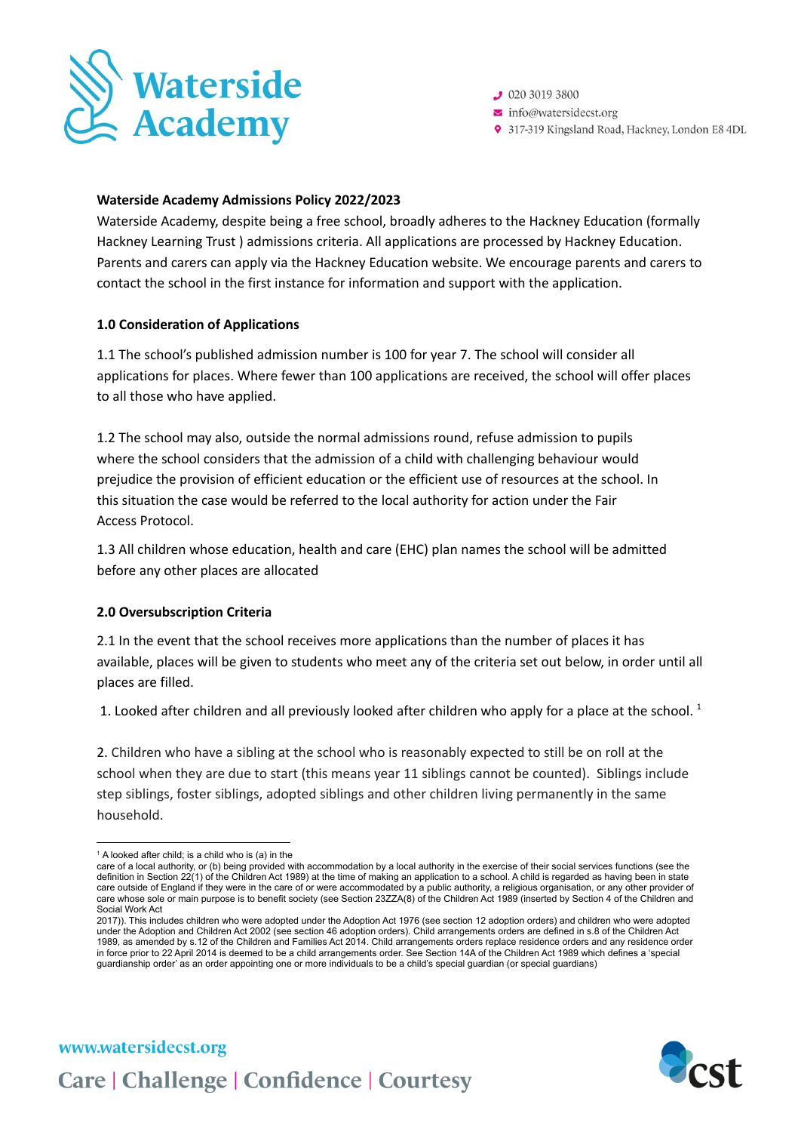

 $92030193800$ 

 $\triangleright$  info@watersidecst.org

9 317-319 Kingsland Road, Hackney, London E8 4DL

### **Waterside Academy Admissions Policy 2022/2023**

Waterside Academy, despite being a free school, broadly adheres to the Hackney Education (formally Hackney Learning Trust ) admissions criteria. All applications are processed by Hackney Education. Parents and carers can apply via the Hackney Education website. We encourage parents and carers to contact the school in the first instance for information and support with the application.

# **1.0 Consideration of Applications**

1.1 The school's published admission number is 100 for year 7. The school will consider all applications for places. Where fewer than 100 applications are received, the school will offer places to all those who have applied.

1.2 The school may also, outside the normal admissions round, refuse admission to pupils where the school considers that the admission of a child with challenging behaviour would prejudice the provision of efficient education or the efficient use of resources at the school. In this situation the case would be referred to the local authority for action under the Fair Access Protocol.

1.3 All children whose education, health and care (EHC) plan names the school will be admitted before any other places are allocated

# **2.0 Oversubscription Criteria**

2.1 In the event that the school receives more applications than the number of places it has available, places will be given to students who meet any of the criteria set out below, in order until all places are filled.

1. Looked after children and all previously looked after children who apply for a place at the school.  $^1$ 

2. Children who have a sibling at the school who is reasonably expected to still be on roll at the school when they are due to start (this means year 11 siblings cannot be counted). Siblings include step siblings, foster siblings, adopted siblings and other children living permanently in the same household.

www.watersidecst.org



 $1$  A looked after child; is a child who is (a) in the

care of a local authority, or (b) being provided with accommodation by a local authority in the exercise of their social services functions (see the definition in Section 22(1) of the Children Act 1989) at the time of making an application to a school. A child is regarded as having been in state care outside of England if they were in the care of or were accommodated by a public authority, a religious organisation, or any other provider of care whose sole or main purpose is to benefit society (see Section 23ZZA(8) of the Children Act 1989 (inserted by Section 4 of the Children and Social Work Act

<sup>2017)).</sup> This includes children who were adopted under the Adoption Act 1976 (see section 12 adoption orders) and children who were adopted under the Adoption and Children Act 2002 (see section 46 adoption orders). Child arrangements orders are defined in s.8 of the Children Act 1989, as amended by s.12 of the Children and Families Act 2014. Child arrangements orders replace residence orders and any residence order in force prior to 22 April 2014 is deemed to be a child arrangements order. See Section 14A of the Children Act 1989 which defines a 'special guardianship order' as an order appointing one or more individuals to be a child's special guardian (or special guardians)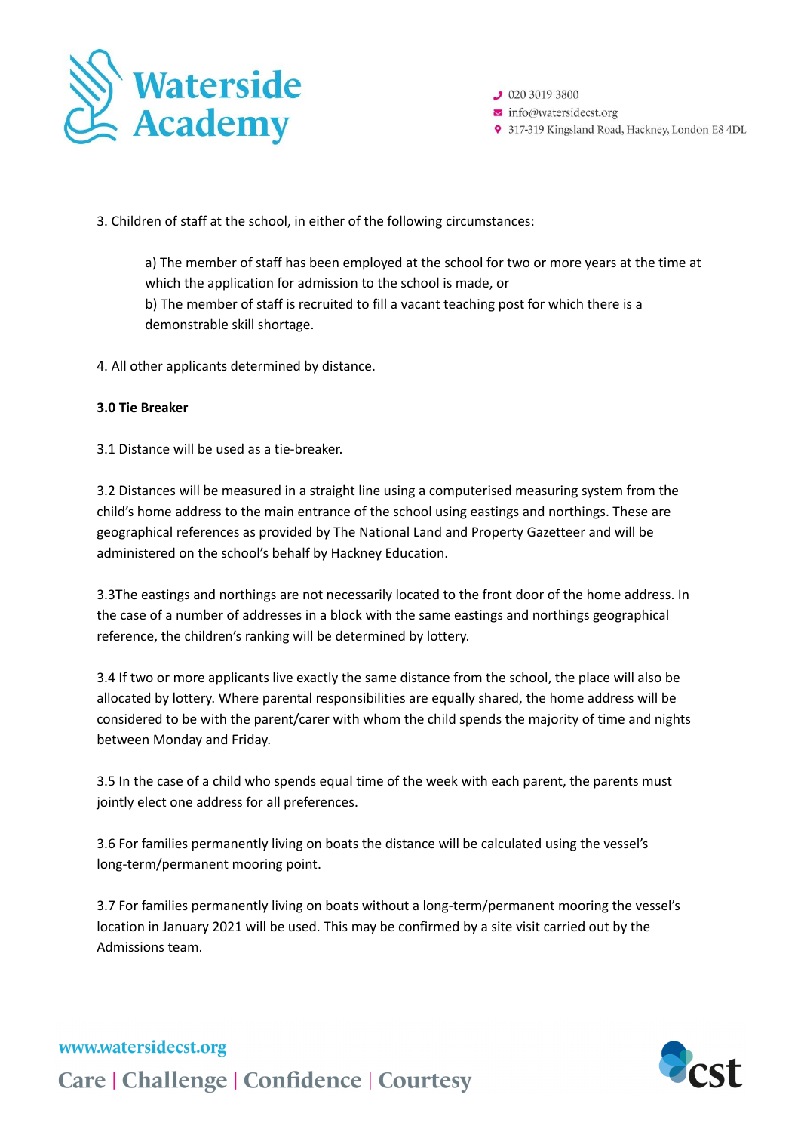

 $92030193800$  $\triangleright$  info@watersidecst.org 9 317-319 Kingsland Road, Hackney, London E8 4DL

3. Children of staff at the school, in either of the following circumstances:

a) The member of staff has been employed at the school for two or more years at the time at which the application for admission to the school is made, or b) The member of staff is recruited to fill a vacant teaching post for which there is a demonstrable skill shortage.

4. All other applicants determined by distance.

### **3.0 Tie Breaker**

3.1 Distance will be used as a tie-breaker.

3.2 Distances will be measured in a straight line using a computerised measuring system from the child's home address to the main entrance of the school using eastings and northings. These are geographical references as provided by The National Land and Property Gazetteer and will be administered on the school's behalf by Hackney Education.

3.3The eastings and northings are not necessarily located to the front door of the home address. In the case of a number of addresses in a block with the same eastings and northings geographical reference, the children's ranking will be determined by lottery.

3.4 If two or more applicants live exactly the same distance from the school, the place will also be allocated by lottery. Where parental responsibilities are equally shared, the home address will be considered to be with the parent/carer with whom the child spends the majority of time and nights between Monday and Friday.

3.5 In the case of a child who spends equal time of the week with each parent, the parents must jointly elect one address for all preferences.

3.6 For families permanently living on boats the distance will be calculated using the vessel's long-term/permanent mooring point.

3.7 For families permanently living on boats without a long-term/permanent mooring the vessel's location in January 2021 will be used. This may be confirmed by a site visit carried out by the Admissions team.



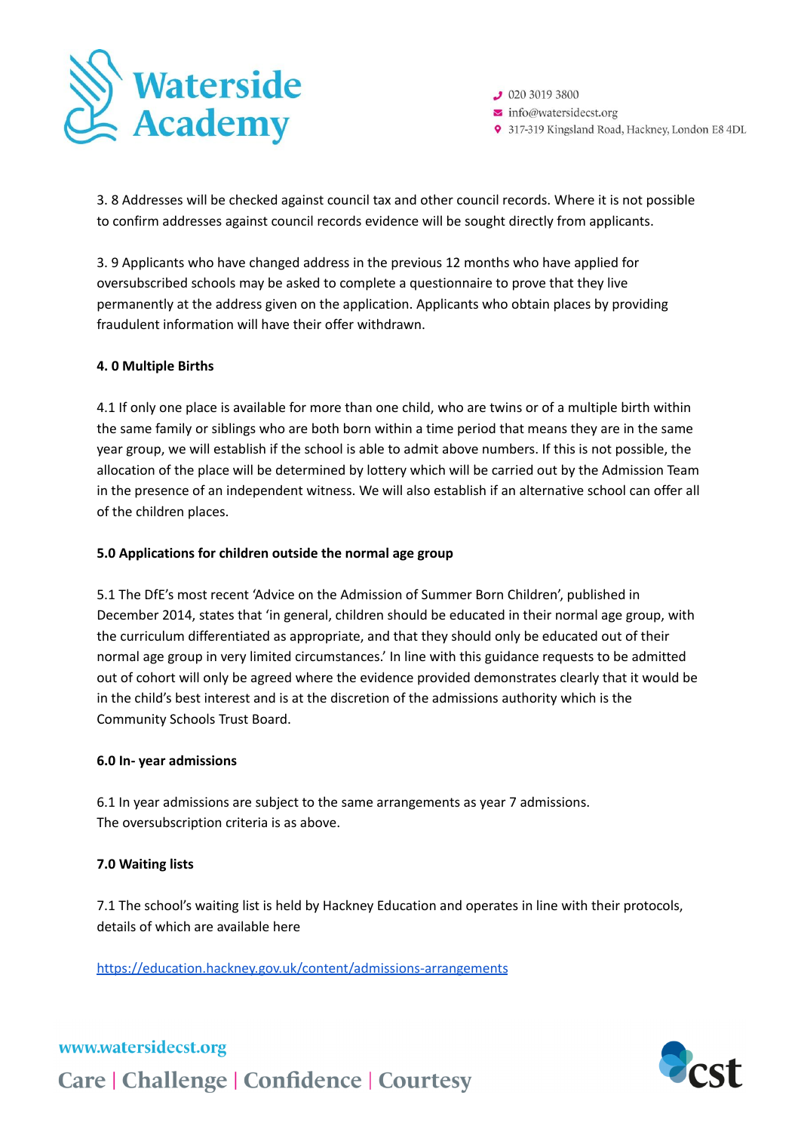

 $92030193800$  $\triangleright$  info@watersidecst.org 9 317-319 Kingsland Road, Hackney, London E8 4DL

3. 8 Addresses will be checked against council tax and other council records. Where it is not possible to confirm addresses against council records evidence will be sought directly from applicants.

3. 9 Applicants who have changed address in the previous 12 months who have applied for oversubscribed schools may be asked to complete a questionnaire to prove that they live permanently at the address given on the application. Applicants who obtain places by providing fraudulent information will have their offer withdrawn.

## **4. 0 Multiple Births**

4.1 If only one place is available for more than one child, who are twins or of a multiple birth within the same family or siblings who are both born within a time period that means they are in the same year group, we will establish if the school is able to admit above numbers. If this is not possible, the allocation of the place will be determined by lottery which will be carried out by the Admission Team in the presence of an independent witness. We will also establish if an alternative school can offer all of the children places.

### **5.0 Applications for children outside the normal age group**

5.1 The DfE's most recent 'Advice on the Admission of Summer Born Children', published in December 2014, states that 'in general, children should be educated in their normal age group, with the curriculum differentiated as appropriate, and that they should only be educated out of their normal age group in very limited circumstances.' In line with this guidance requests to be admitted out of cohort will only be agreed where the evidence provided demonstrates clearly that it would be in the child's best interest and is at the discretion of the admissions authority which is the Community Schools Trust Board.

### **6.0 In- year admissions**

6.1 In year admissions are subject to the same arrangements as year 7 admissions. The oversubscription criteria is as above.

### **7.0 Waiting lists**

7.1 The school's waiting list is held by Hackney Education and operates in line with their protocols, details of which are available here

<https://education.hackney.gov.uk/content/admissions-arrangements>